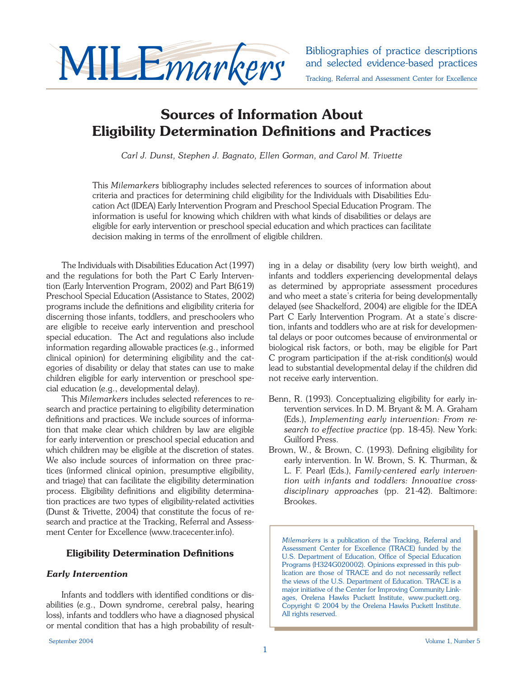

and selected evidence-based practices Tracking, Referral and Assessment Center for Excellence

## **Sources of Information About Eligibility Determination Definitions and Practices**

*Carl J. Dunst, Stephen J. Bagnato, Ellen Gorman, and Carol M. Trivette*

This *Milemarkers* bibliography includes selected references to sources of information about criteria and practices for determining child eligibility for the Individuals with Disabilities Education Act (IDEA) Early Intervention Program and Preschool Special Education Program. The information is useful for knowing which children with what kinds of disabilities or delays are eligible for early intervention or preschool special education and which practices can facilitate decision making in terms of the enrollment of eligible children.

The Individuals with Disabilities Education Act (1997) and the regulations for both the Part C Early Intervention (Early Intervention Program, 2002) and Part B(619) Preschool Special Education (Assistance to States, 2002) programs include the definitions and eligibility criteria for discerning those infants, toddlers, and preschoolers who are eligible to receive early intervention and preschool special education. The Act and regulations also include information regarding allowable practices (e.g., informed clinical opinion) for determining eligibility and the categories of disability or delay that states can use to make children eligible for early intervention or preschool special education (e.g., developmental delay).

This *Milemarkers* includes selected references to research and practice pertaining to eligibility determination definitions and practices. We include sources of information that make clear which children by law are eligible for early intervention or preschool special education and which children may be eligible at the discretion of states. We also include sources of information on three practices (informed clinical opinion, presumptive eligibility, and triage) that can facilitate the eligibility determination process. Eligibility definitions and eligibility determination practices are two types of eligibility-related activities (Dunst & Trivette, 2004) that constitute the focus of research and practice at the Tracking, Referral and Assessment Center for Excellence (www.tracecenter.info).

## **Eligibility Determination Definitions**

## *Early Intervention*

Infants and toddlers with identified conditions or disabilities (e.g., Down syndrome, cerebral palsy, hearing loss), infants and toddlers who have a diagnosed physical or mental condition that has a high probability of resulting in a delay or disability (very low birth weight), and infants and toddlers experiencing developmental delays as determined by appropriate assessment procedures and who meet a state's criteria for being developmentally delayed (see Shackelford, 2004) are eligible for the IDEA Part C Early Intervention Program. At a state's discretion, infants and toddlers who are at risk for developmental delays or poor outcomes because of environmental or biological risk factors, or both, may be eligible for Part C program participation if the at-risk condition(s) would lead to substantial developmental delay if the children did not receive early intervention.

- Benn, R. (1993). Conceptualizing eligibility for early intervention services. In D. M. Bryant & M. A. Graham (Eds.), *Implementing early intervention: From research to effective practice* (pp. 18-45). New York: Guilford Press.
- Brown, W., & Brown, C. (1993). Defining eligibility for early intervention. In W. Brown, S. K. Thurman, & L. F. Pearl (Eds.), *Family-centered early intervention with infants and toddlers: Innovative crossdisciplinary approaches* (pp. 21-42). Baltimore: Brookes.

*Milemarkers* is a publication of the Tracking, Referral and Assessment Center for Excellence (TRACE) funded by the U.S. Department of Education, Office of Special Education Programs (H324G020002). Opinions expressed in this publication are those of TRACE and do not necessarily reflect the views of the U.S. Department of Education. TRACE is a major initiative of the Center for Improving Community Linkages, Orelena Hawks Puckett Institute, www.puckett.org. Copyright © 2004 by the Orelena Hawks Puckett Institute. All rights reserved.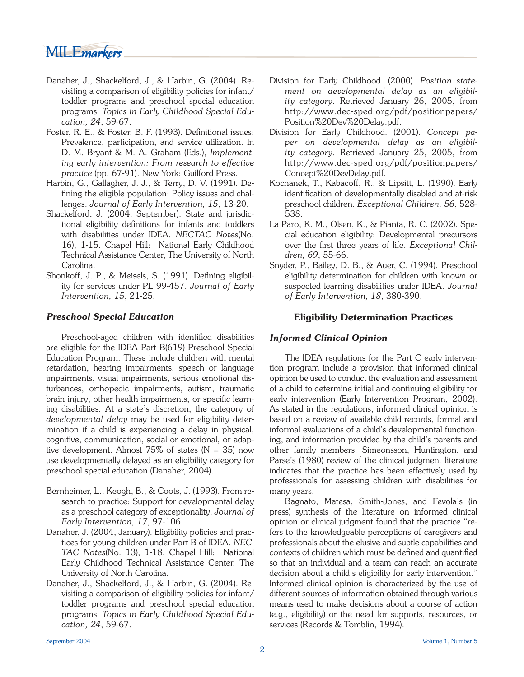# MILEmarkers

- Danaher, J., Shackelford, J., & Harbin, G. (2004). Revisiting a comparison of eligibility policies for infant/ toddler programs and preschool special education programs. *Topics in Early Childhood Special Education, 24*, 59-67.
- Foster, R. E., & Foster, B. F. (1993). Definitional issues: Prevalence, participation, and service utilization. In D. M. Bryant & M. A. Graham (Eds.), *Implementing early intervention: From research to effective practice* (pp. 67-91). New York: Guilford Press.
- Harbin, G., Gallagher, J. J., & Terry, D. V. (1991). Defining the eligible population: Policy issues and challenges. *Journal of Early Intervention, 15*, 13-20.
- Shackelford, J. (2004, September). State and jurisdictional eligibility definitions for infants and toddlers with disabilities under IDEA. *NECTAC Notes*(No. 16), 1-15. Chapel Hill: National Early Childhood Technical Assistance Center, The University of North Carolina.
- Shonkoff, J. P., & Meisels, S. (1991). Defining eligibility for services under PL 99-457. *Journal of Early Intervention, 15*, 21-25.

## *Preschool Special Education*

Preschool-aged children with identified disabilities are eligible for the IDEA Part B(619) Preschool Special Education Program. These include children with mental retardation, hearing impairments, speech or language impairments, visual impairments, serious emotional disturbances, orthopedic impairments, autism, traumatic brain injury, other health impairments, or specific learning disabilities. At a state's discretion, the category of *developmental delay* may be used for eligibility determination if a child is experiencing a delay in physical, cognitive, communication, social or emotional, or adaptive development. Almost  $75\%$  of states (N = 35) now use developmentally delayed as an eligibility category for preschool special education (Danaher, 2004).

- Bernheimer, L., Keogh, B., & Coots, J. (1993). From research to practice: Support for developmental delay as a preschool category of exceptionality. *Journal of Early Intervention, 17*, 97-106.
- Danaher, J. (2004, January). Eligibility policies and practices for young children under Part B of IDEA. *NEC-TAC Notes*(No. 13), 1-18. Chapel Hill: National Early Childhood Technical Assistance Center, The University of North Carolina.
- Danaher, J., Shackelford, J., & Harbin, G. (2004). Revisiting a comparison of eligibility policies for infant/ toddler programs and preschool special education programs. *Topics in Early Childhood Special Education, 24*, 59-67.
- Division for Early Childhood. (2000). *Position statement on developmental delay as an eligibility category*. Retrieved January 26, 2005, from http://www.dec-sped.org/pdf/positionpapers/ Position%20Dev%20Delay.pdf.
- Division for Early Childhood. (2001). *Concept paper on developmental delay as an eligibility category*. Retrieved January 25, 2005, from http://www.dec-sped.org/pdf/positionpapers/ Concept%20DevDelay.pdf.
- Kochanek, T., Kabacoff, R., & Lipsitt, L. (1990). Early identification of developmentally disabled and at-risk preschool children. *Exceptional Children, 56*, 528- 538.
- La Paro, K. M., Olsen, K., & Pianta, R. C. (2002). Special education eligibility: Developmental precursors over the first three years of life. *Exceptional Children, 69*, 55-66.
- Snyder, P., Bailey, D. B., & Auer, C. (1994). Preschool eligibility determination for children with known or suspected learning disabilities under IDEA. *Journal of Early Intervention, 18*, 380-390.

## **Eligibility Determination Practices**

## *Informed Clinical Opinion*

 The IDEA regulations for the Part C early intervention program include a provision that informed clinical opinion be used to conduct the evaluation and assessment of a child to determine initial and continuing eligibility for early intervention (Early Intervention Program, 2002). As stated in the regulations, informed clinical opinion is based on a review of available child records, formal and informal evaluations of a child's developmental functioning, and information provided by the child's parents and other family members. Simeonsson, Huntington, and Parse's (1980) review of the clinical judgment literature indicates that the practice has been effectively used by professionals for assessing children with disabilities for many years.

 Bagnato, Matesa, Smith-Jones, and Fevola's (in press) synthesis of the literature on informed clinical opinion or clinical judgment found that the practice "refers to the knowledgeable perceptions of caregivers and professionals about the elusive and subtle capabilities and contexts of children which must be defined and quantified so that an individual and a team can reach an accurate decision about a child's eligibility for early intervention." Informed clinical opinion is characterized by the use of different sources of information obtained through various means used to make decisions about a course of action (e.g., eligibility) or the need for supports, resources, or services (Records & Tomblin, 1994).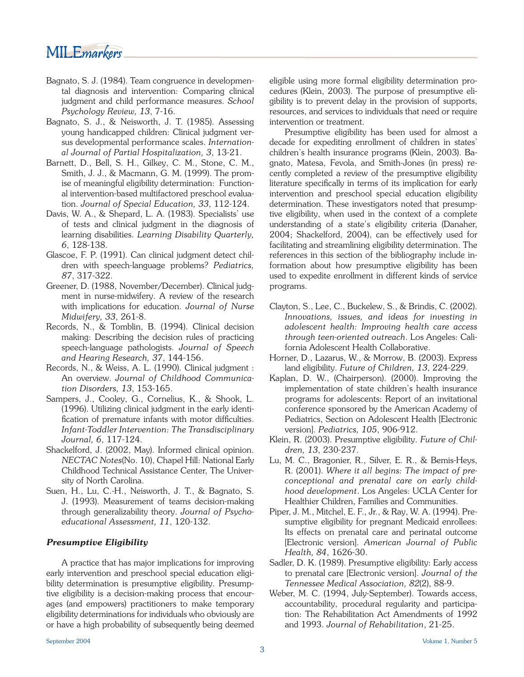# MILE*markers*

- Bagnato, S. J. (1984). Team congruence in developmental diagnosis and intervention: Comparing clinical judgment and child performance measures. *School Psychology Review, 13*, 7-16.
- Bagnato, S. J., & Neisworth, J. T. (1985). Assessing young handicapped children: Clinical judgment versus developmental performance scales. *International Journal of Partial Hospitalization, 3*, 13-21.
- Barnett, D., Bell, S. H., Gilkey, C. M., Stone, C. M., Smith, J. J., & Macmann, G. M. (1999). The promise of meaningful eligibility determination: Functional intervention-based multifactored preschool evaluation. *Journal of Special Education, 33*, 112-124.
- Davis, W. A., & Shepard, L. A. (1983). Specialists' use of tests and clinical judgment in the diagnosis of learning disabilities. *Learning Disability Quarterly, 6*, 128-138.
- Glascoe, F. P. (1991). Can clinical judgment detect children with speech-language problems? *Pediatrics, 87*, 317-322.
- Greener, D. (1988, November/December). Clinical judgment in nurse-midwifery. A review of the research with implications for education. *Journal of Nurse Midwifery, 33*, 261-8.
- Records, N., & Tomblin, B. (1994). Clinical decision making: Describing the decision rules of practicing speech-language pathologists. *Journal of Speech and Hearing Research, 37*, 144-156.
- Records, N., & Weiss, A. L. (1990). Clinical judgment : An overview. *Journal of Childhood Communication Disorders, 13*, 153-165.
- Sampers, J., Cooley, G., Cornelius, K., & Shook, L. (1996). Utilizing clinical judgment in the early identification of premature infants with motor difficulties. *Infant-Toddler Intervention: The Transdisciplinary Journal, 6*, 117-124.
- Shackelford, J. (2002, May). Informed clinical opinion. *NECTAC Notes*(No. 10), Chapel Hill: National Early Childhood Technical Assistance Center, The University of North Carolina.
- Suen, H., Lu, C.-H., Neisworth, J. T., & Bagnato, S. J. (1993). Measurement of teams decision-making through generalizability theory. *Journal of Psychoeducational Assessment, 11*, 120-132.

## *Presumptive Eligibility*

 A practice that has major implications for improving early intervention and preschool special education eligibility determination is presumptive eligibility. Presumptive eligibility is a decision-making process that encourages (and empowers) practitioners to make temporary eligibility determinations for individuals who obviously are or have a high probability of subsequently being deemed eligible using more formal eligibility determination procedures (Klein, 2003). The purpose of presumptive eligibility is to prevent delay in the provision of supports, resources, and services to individuals that need or require intervention or treatment.

 Presumptive eligibility has been used for almost a decade for expediting enrollment of children in states' children's health insurance programs (Klein, 2003). Bagnato, Matesa, Fevola, and Smith-Jones (in press) recently completed a review of the presumptive eligibility literature specifically in terms of its implication for early intervention and preschool special education eligibility determination. These investigators noted that presumptive eligibility, when used in the context of a complete understanding of a state's eligibility criteria (Danaher, 2004; Shackelford, 2004), can be effectively used for facilitating and streamlining eligibility determination. The references in this section of the bibliography include information about how presumptive eligibility has been used to expedite enrollment in different kinds of service programs.

- Clayton, S., Lee, C., Buckelew, S., & Brindis, C. (2002). *Innovations, issues, and ideas for investing in adolescent health: Improving health care access through teen-oriented outreach*. Los Angeles: California Adolescent Health Collaborative.
- Horner, D., Lazarus, W., & Morrow, B. (2003). Express land eligibility. *Future of Children, 13*, 224-229.
- Kaplan, D. W., (Chairperson). (2000). Improving the implementation of state children's health insurance programs for adolescents: Report of an invitational conference sponsored by the American Academy of Pediatrics, Section on Adolescent Health [Electronic version]. *Pediatrics, 105*, 906-912.
- Klein, R. (2003). Presumptive eligibility. *Future of Children, 13*, 230-237.
- Lu, M. C., Bragonier, R., Silver, E. R., & Bemis-Heys, R. (2001). *Where it all begins: The impact of preconceptional and prenatal care on early childhood development*. Los Angeles: UCLA Center for Healthier Children, Families and Communities.
- Piper, J. M., Mitchel, E. F., Jr., & Ray, W. A. (1994). Presumptive eligibility for pregnant Medicaid enrollees: Its effects on prenatal care and perinatal outcome [Electronic version]. *American Journal of Public Health, 84*, 1626-30.
- Sadler, D. K. (1989). Presumptive eligibility: Early access to prenatal care [Electronic version]. *Journal of the Tennessee Medical Association, 82*(2), 88-9.
- Weber, M. C. (1994, July-September). Towards access, accountability, procedural regularity and participation: The Rehabilitation Act Amendments of 1992 and 1993. *Journal of Rehabilitation*, 21-25.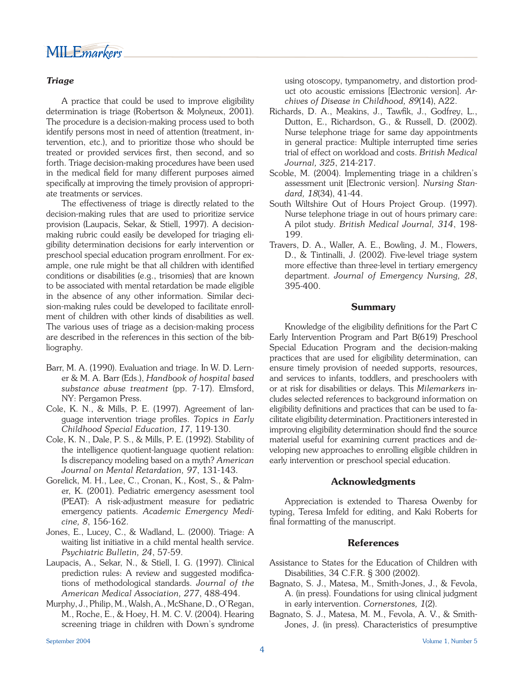## *Triage*

 A practice that could be used to improve eligibility determination is triage (Robertson & Molyneux, 2001). The procedure is a decision-making process used to both identify persons most in need of attention (treatment, intervention, etc.), and to prioritize those who should be treated or provided services first, then second, and so forth. Triage decision-making procedures have been used in the medical field for many different purposes aimed specifically at improving the timely provision of appropriate treatments or services.

 The effectiveness of triage is directly related to the decision-making rules that are used to prioritize service provision (Laupacis, Sekar, & Stiell, 1997). A decisionmaking rubric could easily be developed for triaging eligibility determination decisions for early intervention or preschool special education program enrollment. For example, one rule might be that all children with identified conditions or disabilities (e.g., trisomies) that are known to be associated with mental retardation be made eligible in the absence of any other information. Similar decision-making rules could be developed to facilitate enrollment of children with other kinds of disabilities as well. The various uses of triage as a decision-making process are described in the references in this section of the bibliography.

- Barr, M. A. (1990). Evaluation and triage. In W. D. Lerner & M. A. Barr (Eds.), *Handbook of hospital based substance abuse treatment* (pp. 7-17). Elmsford, NY: Pergamon Press.
- Cole, K. N., & Mills, P. E. (1997). Agreement of language intervention triage profiles. Topics in Early *Childhood Special Education, 17*, 119-130.
- Cole, K. N., Dale, P. S., & Mills, P. E. (1992). Stability of the intelligence quotient-language quotient relation: Is discrepancy modeling based on a myth? *American Journal on Mental Retardation, 97*, 131-143.
- Gorelick, M. H., Lee, C., Cronan, K., Kost, S., & Palmer, K. (2001). Pediatric emergency asessment tool (PEAT): A risk-adjustment measure for pediatric emergency patients. *Academic Emergency Medicine, 8*, 156-162.
- Jones, E., Lucey, C., & Wadland, L. (2000). Triage: A waiting list initiative in a child mental health service. *Psychiatric Bulletin, 24*, 57-59.
- Laupacis, A., Sekar, N., & Stiell, I. G. (1997). Clinical prediction rules: A review and suggested modifications of methodological standards. *Journal of the American Medical Association, 277*, 488-494.
- Murphy, J., Philip, M., Walsh, A., McShane, D., O'Regan, M., Roche, E., & Hoey, H. M. C. V. (2004). Hearing screening triage in children with Down's syndrome

using otoscopy, tympanometry, and distortion product oto acoustic emissions [Electronic version]. *Archives of Disease in Childhood, 89*(14), A22.

- Richards, D. A., Meakins, J., Tawfik, J., Godfrey, L., Dutton, E., Richardson, G., & Russell, D. (2002). Nurse telephone triage for same day appointments in general practice: Multiple interrupted time series trial of effect on workload and costs. *British Medical Journal, 325*, 214-217.
- Scoble, M. (2004). Implementing triage in a children's assessment unit [Electronic version]. *Nursing Standard, 18*(34), 41-44.
- South Wiltshire Out of Hours Project Group. (1997). Nurse telephone triage in out of hours primary care: A pilot study. *British Medical Journal, 314*, 198- 199.
- Travers, D. A., Waller, A. E., Bowling, J. M., Flowers, D., & Tintinalli, J. (2002). Five-level triage system more effective than three-level in tertiary emergency department. *Journal of Emergency Nursing, 28*, 395-400.

### **Summary**

Knowledge of the eligibility definitions for the Part C Early Intervention Program and Part B(619) Preschool Special Education Program and the decision-making practices that are used for eligibility determination, can ensure timely provision of needed supports, resources, and services to infants, toddlers, and preschoolers with or at risk for disabilities or delays. This *Milemarkers* includes selected references to background information on eligibility definitions and practices that can be used to facilitate eligibility determination. Practitioners interested in improving eligibility determination should find the source material useful for examining current practices and developing new approaches to enrolling eligible children in early intervention or preschool special education.

### **Acknowledgments**

 Appreciation is extended to Tharesa Owenby for typing, Teresa Imfeld for editing, and Kaki Roberts for final formatting of the manuscript.

### **References**

- Assistance to States for the Education of Children with Disabilities, 34 C.F.R. § 300 (2002).
- Bagnato, S. J., Matesa, M., Smith-Jones, J., & Fevola, A. (in press). Foundations for using clinical judgment in early intervention. *Cornerstones, 1*(2).
- Bagnato, S. J., Matesa, M. M., Fevola, A. V., & Smith-Jones, J. (in press). Characteristics of presumptive